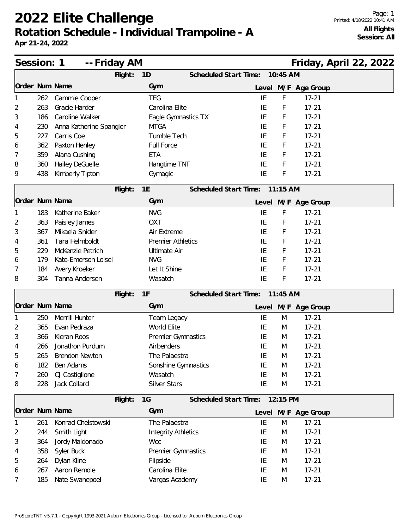|                | Session: 1<br>-- Friday AM |                         |         |                            |  |                                |            |                     | Friday, April 22, 2022 |  |
|----------------|----------------------------|-------------------------|---------|----------------------------|--|--------------------------------|------------|---------------------|------------------------|--|
|                |                            |                         | Flight: | 1D                         |  | Scheduled Start Time: 10:45 AM |            |                     |                        |  |
| Order Num Name |                            |                         |         | Gym                        |  |                                |            | Level M/F Age Group |                        |  |
|                | 262                        | Cammie Cooper           |         | <b>TEG</b>                 |  | IE                             | F          | $17 - 21$           |                        |  |
| 2              | 263                        | Gracie Harder           |         | Carolina Elite             |  | IE                             | F          | $17 - 21$           |                        |  |
| 3              | 186                        | Caroline Walker         |         | Eagle Gymnastics TX        |  | IE                             | F          | $17 - 21$           |                        |  |
| 4              | 230                        | Anna Katherine Spangler |         | <b>MTGA</b>                |  | ΙE                             | F          | $17 - 21$           |                        |  |
| 5              | 227                        | Carris Coe              |         | Tumble Tech                |  | IE                             | F          | $17 - 21$           |                        |  |
| 6              | 362                        | Paxton Henley           |         | Full Force                 |  | IE                             | F          | $17 - 21$           |                        |  |
| 7              | 359                        | Alana Cushing           |         | <b>ETA</b>                 |  | IE                             | F          | $17 - 21$           |                        |  |
| 8              | 360                        | Hailey DeGuelle         |         | Hangtime TNT               |  | IE                             | F          | $17 - 21$           |                        |  |
| 9              | 438                        | Kimberly Tipton         |         | Gymagic                    |  | IE                             | F          | $17 - 21$           |                        |  |
|                |                            |                         | Flight: | 1E                         |  | <b>Scheduled Start Time:</b>   | $11:15$ AM |                     |                        |  |
| Order Num Name |                            |                         |         | Gym                        |  |                                |            | Level M/F Age Group |                        |  |
|                | 183                        | Katherine Baker         |         | <b>NVG</b>                 |  | IE                             | F          | $17 - 21$           |                        |  |
| 2              | 363                        | Paisley James           |         | <b>OXT</b>                 |  | IE                             | F          | $17 - 21$           |                        |  |
| 3              | 367                        | Mikaela Snider          |         | Air Extreme                |  | IE                             | F          | $17 - 21$           |                        |  |
| 4              | 361                        | Tara Helmboldt          |         | <b>Premier Athletics</b>   |  | IE                             | F          | $17 - 21$           |                        |  |
| 5              | 229                        | McKenzie Petrich        |         | <b>Ultimate Air</b>        |  | IE                             | F          | $17 - 21$           |                        |  |
| 6              | 179                        | Kate-Emerson Loisel     |         | <b>NVG</b>                 |  | IE                             | F          | $17 - 21$           |                        |  |
| 7              | 184                        | Avery Kroeker           |         | Let It Shine               |  | IE                             | F          | $17 - 21$           |                        |  |
| 8              | 304                        | Tanna Andersen          |         | Wasatch                    |  | IE                             | F          | $17 - 21$           |                        |  |
|                |                            |                         | Flight: | 1F                         |  | Scheduled Start Time:          | $11:45$ AM |                     |                        |  |
| Order Num Name |                            |                         |         | Gym                        |  |                                |            | Level M/F Age Group |                        |  |
|                | 250                        | Merrill Hunter          |         | Team Legacy                |  | IE                             | M          | $17 - 21$           |                        |  |
| 2              | 365                        | Evan Pedraza            |         | World Elite                |  | IE                             | M          | $17 - 21$           |                        |  |
| 3              | 366                        | Kieran Roos             |         | Premier Gymnastics         |  | IE                             | M          | $17 - 21$           |                        |  |
| 4              | 266                        | Jonathon Purdum         |         | Airbenders                 |  | IE                             | M          | $17 - 21$           |                        |  |
| 5              | 265                        | <b>Brendon Newton</b>   |         | The Palaestra              |  | IE                             | M          | $17 - 21$           |                        |  |
| 6              | 182                        | Ben Adams               |         | Sonshine Gymnastics        |  | IE                             | M          | $17 - 21$           |                        |  |
| 7              | 260                        | CJ Castiglione          |         | Wasatch                    |  | IE                             | M          | $17 - 21$           |                        |  |
| 8              | 228                        | Jack Collard            |         | <b>Silver Stars</b>        |  | IE                             | M          | $17 - 21$           |                        |  |
|                |                            |                         | Flight: | 1G                         |  | Scheduled Start Time:          | 12:15 PM   |                     |                        |  |
| Order Num Name |                            |                         |         | Gym                        |  |                                |            | Level M/F Age Group |                        |  |
|                | 261                        | Konrad Chelstowski      |         | The Palaestra              |  | IE                             | M          | $17 - 21$           |                        |  |
| 2              | 244                        | Smith Light             |         | <b>Integrity Athletics</b> |  | IE                             | M          | $17 - 21$           |                        |  |
| 3              | 364                        | Jordy Maldonado         |         | <b>Wcc</b>                 |  | IE                             | M          | $17 - 21$           |                        |  |
| 4              | 358                        | Syler Buck              |         | Premier Gymnastics         |  | IE                             | M          | $17 - 21$           |                        |  |
| 5              | 264                        | Dylan Kline             |         | Flipside                   |  | IE                             | M          | $17 - 21$           |                        |  |
| 6              | 267                        | Aaron Remole            |         | Carolina Elite             |  | IE                             | M          | $17 - 21$           |                        |  |
| 7              | 185                        | Nate Swanepoel          |         | Vargas Academy             |  | IE                             | M          | $17 - 21$           |                        |  |
|                |                            |                         |         |                            |  |                                |            |                     |                        |  |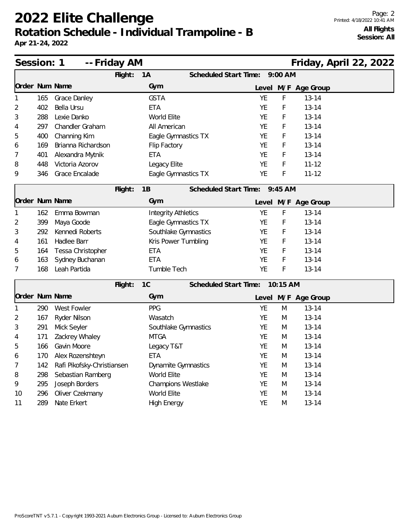| Session: 1 |     | -- Friday AM               |         |                            | Friday, April 22, 2022         |           |           |           |                     |  |  |
|------------|-----|----------------------------|---------|----------------------------|--------------------------------|-----------|-----------|-----------|---------------------|--|--|
|            |     |                            | Flight: | 1A                         | Scheduled Start Time:          |           |           | $9:00$ AM |                     |  |  |
|            |     | Order Num Name             |         | Gym                        |                                |           |           |           | Level M/F Age Group |  |  |
|            | 165 | Grace Danley               |         | <b>GSTA</b>                |                                |           | <b>YE</b> | F         | $13 - 14$           |  |  |
| 2          | 402 | Bella Ursu                 |         | <b>ETA</b>                 |                                |           | YE        | F         | $13 - 14$           |  |  |
| 3          | 288 | Lexie Danko                |         | World Elite                |                                |           | YE        | F         | $13 - 14$           |  |  |
| 4          | 297 | Chandler Graham            |         | All American               |                                | <b>YE</b> |           | F         | $13 - 14$           |  |  |
| 5          | 400 | Channing Kim               |         | Eagle Gymnastics TX        |                                |           | YE        | F         | $13 - 14$           |  |  |
| 6          | 169 | Brianna Richardson         |         | Flip Factory               |                                |           | YE        | F         | $13 - 14$           |  |  |
| 7          | 401 | Alexandra Mytnik           |         | <b>ETA</b>                 |                                | <b>YE</b> |           | F         | $13 - 14$           |  |  |
| 8          | 448 | Victoria Azorov            |         | Legacy Elite               |                                |           | YE        | F         | $11 - 12$           |  |  |
| 9          | 346 | Grace Encalade             |         | Eagle Gymnastics TX        |                                |           | YE        | F         | $11 - 12$           |  |  |
|            |     |                            | Flight: | 1B                         | Scheduled Start Time:          |           |           | 9:45 AM   |                     |  |  |
|            |     | Order Num Name             |         | Gym                        |                                |           |           |           | Level M/F Age Group |  |  |
|            | 162 | Emma Bowman                |         | <b>Integrity Athletics</b> |                                |           | YE        | F         | $13 - 14$           |  |  |
| 2          | 399 | Maya Goode                 |         | Eagle Gymnastics TX        |                                | <b>YE</b> |           | F         | $13 - 14$           |  |  |
| 3          | 292 | Kennedi Roberts            |         | Southlake Gymnastics       |                                |           | <b>YE</b> | F         | $13 - 14$           |  |  |
| 4          | 161 | Hadlee Barr                |         | Kris Power Tumbling        |                                |           | YE        | F         | $13 - 14$           |  |  |
| 5          | 164 | Tessa Christopher          |         | <b>ETA</b>                 |                                | <b>YE</b> |           | F         | $13 - 14$           |  |  |
| 6          | 163 | Sydney Buchanan            |         | <b>ETA</b>                 |                                |           | YE        | F         | $13 - 14$           |  |  |
| 7          | 168 | Leah Partida               |         | Tumble Tech                |                                |           | YE        | F         | $13 - 14$           |  |  |
|            |     |                            | Flight: | 1C                         | Scheduled Start Time: 10:15 AM |           |           |           |                     |  |  |
|            |     | Order Num Name             |         | Gym                        |                                |           |           |           | Level M/F Age Group |  |  |
|            | 290 | West Fowler                |         | PPG                        |                                |           | YE        | M         | $13 - 14$           |  |  |
| 2          | 167 | Ryder Nilson               |         | Wasatch                    |                                |           | YE        | M         | $13 - 14$           |  |  |
| 3          | 291 | Mick Seyler                |         | Southlake Gymnastics       |                                |           | YE        | M         | $13 - 14$           |  |  |
| 4          | 171 | Zackrey Whaley             |         | <b>MTGA</b>                |                                | <b>YE</b> |           | M         | $13 - 14$           |  |  |
| 5          | 166 | Gavin Moore                |         | Legacy T&T                 |                                | YE        |           | M         | $13 - 14$           |  |  |
| 6          | 170 | Alex Rozenshteyn           |         | <b>ETA</b>                 |                                |           | YE        | M         | $13 - 14$           |  |  |
| 7          | 142 | Rafi Pikofsky-Christiansen |         | Dynamite Gymnastics        |                                |           | YE        | M         | $13 - 14$           |  |  |
| 8          | 298 | Sebastian Ramberg          |         | World Elite                |                                |           | YE        | M         | $13 - 14$           |  |  |
| 9          | 295 | Joseph Borders             |         | Champions Westlake         |                                |           | YE        | M         | $13 - 14$           |  |  |
| 10         | 296 | Oliver Czekmany            |         | World Elite                |                                |           | YE        | M         | $13 - 14$           |  |  |
| 11         | 289 | Nate Erkert                |         | <b>High Energy</b>         |                                |           | YE        | M         | $13 - 14$           |  |  |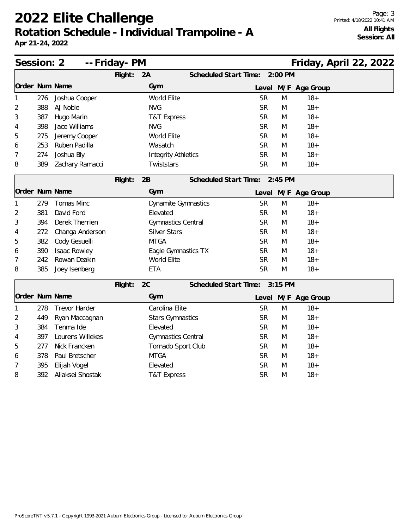| Session: 2<br>-- Friday- PM<br>Friday, April 22, 2022 |     |                      |         |                            |                               |           |           |                     |  |  |
|-------------------------------------------------------|-----|----------------------|---------|----------------------------|-------------------------------|-----------|-----------|---------------------|--|--|
|                                                       |     |                      | Flight: | 2A                         | Scheduled Start Time:         |           | 2:00 PM   |                     |  |  |
| Order Num Name                                        |     |                      |         | Gym                        |                               |           |           | Level M/F Age Group |  |  |
| 1                                                     | 276 | Joshua Cooper        |         | World Elite                |                               | <b>SR</b> | M         | $18 +$              |  |  |
| 2                                                     | 388 | AJ Noble             |         | <b>NVG</b>                 |                               | <b>SR</b> | M         | $18 +$              |  |  |
| 3                                                     | 387 | Hugo Marin           |         | <b>T&amp;T Express</b>     |                               | <b>SR</b> | M         | $18 +$              |  |  |
| 4                                                     | 398 | Jace Williams        |         | <b>NVG</b>                 |                               | <b>SR</b> | M         | $18 +$              |  |  |
| 5                                                     | 275 | Jeremy Cooper        |         | World Elite                |                               | <b>SR</b> | M         | $18 +$              |  |  |
| 6                                                     | 253 | Ruben Padilla        |         | Wasatch                    |                               | <b>SR</b> | M         | $18 +$              |  |  |
| 7                                                     | 274 | Joshua Bly           |         | <b>Integrity Athletics</b> |                               | <b>SR</b> | M         | $18+$               |  |  |
| 8                                                     | 389 | Zachary Ramacci      |         | Twiststars                 |                               | <b>SR</b> | M         | $18 +$              |  |  |
|                                                       |     |                      | Flight: | 2B                         | Scheduled Start Time:         |           | $2:45$ PM |                     |  |  |
| Order Num Name                                        |     |                      |         | Gym                        |                               |           |           | Level M/F Age Group |  |  |
| 1                                                     | 279 | Tomas Minc           |         | <b>Dynamite Gymnastics</b> |                               | <b>SR</b> | M         | $18 +$              |  |  |
| 2                                                     | 381 | David Ford           |         | Elevated                   |                               | <b>SR</b> | M         | $18 +$              |  |  |
| 3                                                     | 394 | Derek Therrien       |         | <b>Gymnastics Central</b>  |                               | <b>SR</b> | M         | $18 +$              |  |  |
| 4                                                     | 272 | Changa Anderson      |         | <b>Silver Stars</b>        |                               | <b>SR</b> | M         | $18 +$              |  |  |
| 5                                                     | 382 | Cody Gesuelli        |         | <b>MTGA</b>                |                               | <b>SR</b> | M         | $18 +$              |  |  |
| 6                                                     | 390 | <b>Isaac Rowley</b>  |         | Eagle Gymnastics TX        |                               | <b>SR</b> | M         | $18 +$              |  |  |
| 7                                                     | 242 | Rowan Deakin         |         | World Elite                |                               | <b>SR</b> | M         | $18+$               |  |  |
| 8                                                     | 385 | Joey Isenberg        |         | <b>ETA</b>                 |                               | <b>SR</b> | M         | $18+$               |  |  |
|                                                       |     |                      | Flight: | 2C                         | Scheduled Start Time: 3:15 PM |           |           |                     |  |  |
| Order Num Name                                        |     |                      |         | Gym                        |                               |           |           | Level M/F Age Group |  |  |
| 1                                                     | 278 | <b>Trevor Harder</b> |         | Carolina Elite             |                               | <b>SR</b> | M         | $18 +$              |  |  |
| 2                                                     | 449 | Ryan Maccagnan       |         | <b>Stars Gymnastics</b>    |                               | <b>SR</b> | M         | $18+$               |  |  |
| 3                                                     | 384 | Tenma Ide            |         | Elevated                   |                               | <b>SR</b> | M         | $18 +$              |  |  |
| 4                                                     | 397 | Lourens Willekes     |         | Gymnastics Central         |                               | <b>SR</b> | M         | $18 +$              |  |  |
| 5                                                     | 277 | Nick Francken        |         | Tornado Sport Club         |                               | <b>SR</b> | M         | $18 +$              |  |  |
| 6                                                     | 378 | Paul Bretscher       |         | <b>MTGA</b>                |                               | <b>SR</b> | M         | $18 +$              |  |  |
| 7                                                     | 395 | Elijah Vogel         |         | Elevated                   |                               | <b>SR</b> | M         | $18+$               |  |  |
| 8                                                     | 392 | Aliaksei Shostak     |         | <b>T&amp;T Express</b>     |                               | <b>SR</b> | M         | $18 +$              |  |  |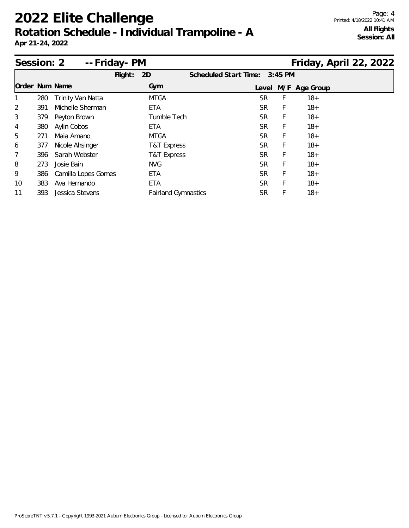| Session: 2     |     | -- Friday- PM            |         |                            |                              |           |           |               | Friday, April 22, 2022 |  |
|----------------|-----|--------------------------|---------|----------------------------|------------------------------|-----------|-----------|---------------|------------------------|--|
|                |     |                          | Flight: | 2D                         | <b>Scheduled Start Time:</b> |           | $3:45$ PM |               |                        |  |
| Order Num Name |     |                          |         | Gym                        |                              | Level     |           | M/F Age Group |                        |  |
| 1              | 280 | <b>Trinity Van Natta</b> |         | <b>MTGA</b>                |                              | SR.       | F         | $18+$         |                        |  |
| $\overline{2}$ | 391 | Michelle Sherman         |         | ETA                        |                              | SR        | F         | $18 +$        |                        |  |
| 3              | 379 | Peyton Brown             |         | Tumble Tech                |                              | SR        | F         | $18+$         |                        |  |
| 4              | 380 | Aylin Cobos              |         | ETA                        |                              | SR        | F         | $18+$         |                        |  |
| 5              | 271 | Maia Amano               |         | <b>MTGA</b>                |                              | SR.       | F         | $18+$         |                        |  |
| 6              | 377 | Nicole Ahsinger          |         | T&T Express                |                              | <b>SR</b> | F         | $18+$         |                        |  |
| 7              | 396 | Sarah Webster            |         | T&T Express                |                              | <b>SR</b> | F         | $18+$         |                        |  |
| 8              | 273 | Josie Bain               |         | <b>NVG</b>                 |                              | <b>SR</b> | F         | $18+$         |                        |  |
| 9              | 386 | Camilla Lopes Gomes      |         | ETA                        |                              | SR.       | F         | $18+$         |                        |  |
| 10             | 383 | Ava Hernando             |         | ETA                        |                              | <b>SR</b> | F         | $18+$         |                        |  |
| 11             | 393 | Jessica Stevens          |         | <b>Fairland Gymnastics</b> |                              | SR        | F         | $18 +$        |                        |  |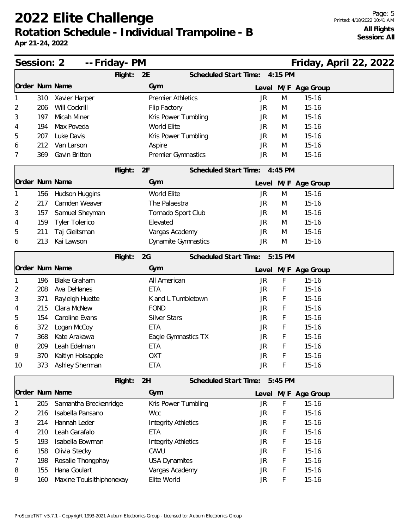| Session: 2     |     |                          | -- Friday- PM |                            |                              |         | Friday, April 22, 2022 |  |  |
|----------------|-----|--------------------------|---------------|----------------------------|------------------------------|---------|------------------------|--|--|
|                |     |                          | Flight:       | 2E                         | Scheduled Start Time:        | 4:15 PM |                        |  |  |
| Order Num Name |     |                          |               | Gym                        |                              |         | Level M/F Age Group    |  |  |
|                | 310 | Xavier Harper            |               | <b>Premier Athletics</b>   | <b>JR</b>                    | M       | $15 - 16$              |  |  |
| 2              | 206 | Will Cockrill            |               | Flip Factory               | JR                           | M       | $15 - 16$              |  |  |
| 3              | 197 | Micah Miner              |               | Kris Power Tumbling        | JR                           | M       | $15 - 16$              |  |  |
| 4              | 194 | Max Poveda               |               | World Elite                | JR                           | M       | $15 - 16$              |  |  |
| 5              | 207 | Luke Davis               |               | Kris Power Tumbling        | JR                           | M       | $15 - 16$              |  |  |
| 6              | 212 | Van Larson               |               | Aspire                     | JR                           | M       | $15 - 16$              |  |  |
| 7              | 369 | Gavin Britton            |               | Premier Gymnastics         | <b>JR</b>                    | M       | $15 - 16$              |  |  |
|                |     |                          | Flight:       | 2F                         | Scheduled Start Time:        | 4:45 PM |                        |  |  |
| Order Num Name |     |                          |               | Gym                        |                              |         | Level M/F Age Group    |  |  |
|                | 156 | Hudson Huggins           |               | <b>World Elite</b>         | <b>JR</b>                    | M       | $15 - 16$              |  |  |
| 2              | 217 | Camden Weaver            |               | The Palaestra              | JR                           | M       | $15 - 16$              |  |  |
| 3              | 157 | Samuel Sheyman           |               | Tornado Sport Club         | JR                           | M       | $15 - 16$              |  |  |
| 4              | 159 | <b>Tyler Tolerico</b>    |               | Elevated                   | JR                           | M       | $15 - 16$              |  |  |
| 5              | 211 | Taj Gleitsman            |               | Vargas Academy             | JR                           | M       | $15 - 16$              |  |  |
| 6              | 213 | Kai Lawson               |               | Dynamite Gymnastics        | <b>JR</b>                    | M       | $15 - 16$              |  |  |
|                |     |                          | Flight:       | 2G                         | Scheduled Start Time:        | 5:15 PM |                        |  |  |
| Order Num Name |     |                          |               | Gym                        | Level                        |         | M/F Age Group          |  |  |
|                | 196 | <b>Blake Graham</b>      |               | All American               | JR                           | F       | $15 - 16$              |  |  |
| 2              | 208 | Ava DeHanes              |               | <b>ETA</b>                 | <b>JR</b>                    | F       | $15 - 16$              |  |  |
| 3              | 371 | Rayleigh Huette          |               | K and L Tumbletown         | JR                           | F       | $15 - 16$              |  |  |
| 4              | 215 | Clara McNew              |               | <b>FOND</b>                | JR                           | F       | $15 - 16$              |  |  |
| 5              | 154 | Caroline Evans           |               | <b>Silver Stars</b>        | JR                           | F       | $15 - 16$              |  |  |
| 6              | 372 | Logan McCoy              |               | ETA                        | <b>JR</b>                    | F       | $15 - 16$              |  |  |
| 7              | 368 | Kate Arakawa             |               | Eagle Gymnastics TX        | JR                           | F       | $15 - 16$              |  |  |
| 8              | 209 | Leah Edelman             |               | ETA                        | JR                           | F       | $15 - 16$              |  |  |
| 9              | 370 | Kaitlyn Holsapple        |               | <b>OXT</b>                 | JR                           | F       | 15-16                  |  |  |
| 10             | 373 | Ashley Sherman           |               | <b>ETA</b>                 | <b>JR</b>                    | F       | $15 - 16$              |  |  |
|                |     |                          | Flight:       | 2H                         | <b>Scheduled Start Time:</b> | 5:45 PM |                        |  |  |
| Order Num Name |     |                          |               | Gym                        |                              |         | Level M/F Age Group    |  |  |
|                | 205 | Samantha Breckenridge    |               | Kris Power Tumbling        | JR                           | F       | $15 - 16$              |  |  |
| 2              | 216 | Isabella Pansano         |               | <b>Wcc</b>                 | <b>JR</b>                    | F       | $15 - 16$              |  |  |
| 3              | 214 | Hannah Leder             |               | <b>Integrity Athletics</b> | JR                           | F       | $15 - 16$              |  |  |
| 4              | 210 | Leah Garafalo            |               | ETA                        | JR                           | F       | $15 - 16$              |  |  |
| 5              | 193 | Isabella Bowman          |               | <b>Integrity Athletics</b> | <b>JR</b>                    | F       | $15 - 16$              |  |  |
| 6              | 158 | Olivia Stecky            |               | CAVU                       | <b>JR</b>                    | F       | $15 - 16$              |  |  |
| 7              | 198 | Rosalie Thongphay        |               | <b>USA Dynamites</b>       | JR                           | F       | $15 - 16$              |  |  |
| 8              | 155 | Hana Goulart             |               | Vargas Academy             | JR                           | F       | $15 - 16$              |  |  |
| 9              | 160 | Maxine Touisithiphonexay |               | Elite World                | JR                           | F       | $15 - 16$              |  |  |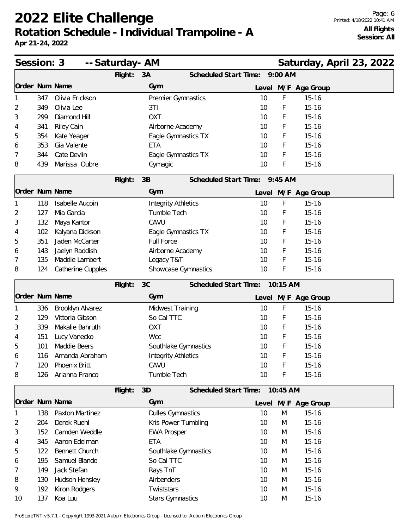**Apr 21-24, 2022**

| Session: 3     |     |                        | -- Saturday- AM |                            |                               |          | Saturday, April 23, 2022 |  |  |
|----------------|-----|------------------------|-----------------|----------------------------|-------------------------------|----------|--------------------------|--|--|
|                |     |                        | Flight:         | 3A                         | Scheduled Start Time:         | 9:00 AM  |                          |  |  |
| Order Num Name |     |                        |                 | Gym                        |                               |          | Level M/F Age Group      |  |  |
|                | 347 | Olivia Erickson        |                 | Premier Gymnastics         | 10                            | F        | $15 - 16$                |  |  |
| 2              | 349 | Olivia Lee             |                 | 3T1                        | 10                            | F        | $15 - 16$                |  |  |
| 3              | 299 | Diamond Hill           |                 | <b>OXT</b>                 | 10                            | F        | $15 - 16$                |  |  |
| 4              | 341 | <b>Riley Cain</b>      |                 | Airborne Academy           | 10                            | F        | $15 - 16$                |  |  |
| 5              | 354 | Kate Yeager            |                 | Eagle Gymnastics TX        | 10                            | F        | $15 - 16$                |  |  |
| 6              | 353 | Gia Valente            |                 | <b>ETA</b>                 | 10                            | F        | $15 - 16$                |  |  |
| 7              | 344 | Cate Devlin            |                 | Eagle Gymnastics TX        | 10                            | F        | $15 - 16$                |  |  |
| 8              | 439 | Marissa Oubre          |                 | Gymagic                    | 10                            | F        | $15 - 16$                |  |  |
|                |     |                        | Flight:         | 3B                         | Scheduled Start Time: 9:45 AM |          |                          |  |  |
| Order Num Name |     |                        |                 | Gym                        |                               |          | Level M/F Age Group      |  |  |
|                | 118 | <b>Isabelle Aucoin</b> |                 | <b>Integrity Athletics</b> | 10                            | F        | $15 - 16$                |  |  |
| 2              | 127 | Mia Garcia             |                 | Tumble Tech                | 10                            | F        | $15 - 16$                |  |  |
| 3              | 132 | Maya Kantor            |                 | CAVU                       | 10                            | F        | $15 - 16$                |  |  |
| 4              | 102 | Kalyana Dickson        |                 | Eagle Gymnastics TX        | 10                            | F        | $15 - 16$                |  |  |
| 5              | 351 | Jaden McCarter         |                 | <b>Full Force</b>          | 10                            | F        | $15 - 16$                |  |  |
| 6              | 143 | Jaelyn Raddish         |                 | Airborne Academy           | 10                            | F        | $15 - 16$                |  |  |
| 7              | 135 | Maddie Lambert         |                 | Legacy T&T                 | 10                            | F        | $15 - 16$                |  |  |
| 8              | 124 | Catherine Cupples      |                 | Showcase Gymnastics        | 10                            | F        | $15 - 16$                |  |  |
|                |     |                        | Flight:         | 3C                         | Scheduled Start Time:         | 10:15 AM |                          |  |  |
| Order Num Name |     |                        |                 | Gym                        |                               |          | Level M/F Age Group      |  |  |
|                | 336 | Brooklyn Alvarez       |                 | <b>Midwest Training</b>    | 10                            | F        | $15 - 16$                |  |  |
| 2              | 129 | Vittoria Gibson        |                 | So Cal TTC                 | 10                            | F        | $15 - 16$                |  |  |
| 3              | 339 | Makalie Bahruth        |                 | <b>OXT</b>                 | 10                            | F        | $15 - 16$                |  |  |
| 4              | 151 | Lucy Vanecko           |                 | <b>Wcc</b>                 | 10                            | F        | $15 - 16$                |  |  |
| 5              | 101 | Maddie Beers           |                 | Southlake Gymnastics       | 10                            | F        | $15 - 16$                |  |  |
| 6              | 116 | Amanda Abraham         |                 | <b>Integrity Athletics</b> | 10                            | Ł        | $15 - 16$                |  |  |
| 7              | 120 | Phoenix Britt          |                 | CAVU                       | 10                            | F        | $15 - 16$                |  |  |
| 8              | 126 | Arianna Franco         |                 | Tumble Tech                | 10                            | F        | $15 - 16$                |  |  |
|                |     |                        | Flight:         | 3D                         | Scheduled Start Time:         | 10:45 AM |                          |  |  |
| Order Num Name |     |                        |                 | Gym                        |                               |          | Level M/F Age Group      |  |  |
|                | 138 | Paxton Martinez        |                 | <b>Dulles Gymnastics</b>   | 10                            | M        | $15 - 16$                |  |  |
| 2              | 204 | Derek Ruehl            |                 | Kris Power Tumbling        | 10                            | M        | $15 - 16$                |  |  |
| 3              | 152 | Camden Weddle          |                 | <b>EWA Prosper</b>         | 10                            | M        | $15 - 16$                |  |  |
| 4              | 345 | Aaron Edelman          |                 | <b>ETA</b>                 | 10                            | M        | $15 - 16$                |  |  |
| 5              | 122 | Bennett Church         |                 | Southlake Gymnastics       | 10                            | M        | $15 - 16$                |  |  |
| 6              | 195 | Samuel Blando          |                 | So Cal TTC                 | 10                            | M        | $15 - 16$                |  |  |
| 7              | 149 | Jack Stefan            |                 | Rays TnT                   | 10                            | M        | $15 - 16$                |  |  |
| 8              | 130 | Hudson Hensley         |                 | Airbenders                 | 10                            | M        | $15 - 16$                |  |  |
| 9              | 192 | Kiron Rodgers          |                 | Twiststars                 | 10                            | M        | $15 - 16$                |  |  |
| 10             | 137 | Koa Luu                |                 | <b>Stars Gymnastics</b>    | 10                            | M        | $15 - 16$                |  |  |

ProScoreTNT v5.7.1 - Copyright 1993-2021 Auburn Electronics Group - Licensed to: Auburn Electronics Group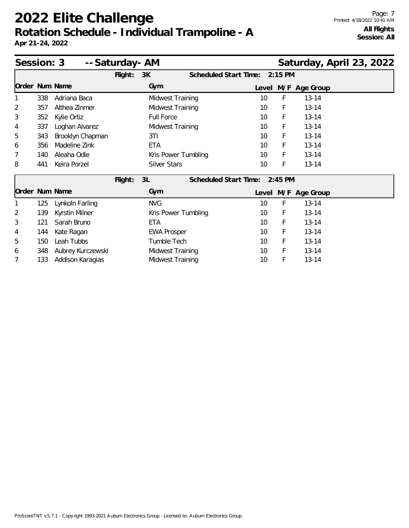| Session: 3<br>-- Saturday- AM<br>Saturday, April 23, 2022 |     |                   |         |                     |  |                       |    |           |                     |  |  |
|-----------------------------------------------------------|-----|-------------------|---------|---------------------|--|-----------------------|----|-----------|---------------------|--|--|
|                                                           |     |                   | Flight: | 3K                  |  | Scheduled Start Time: |    | $2:15$ PM |                     |  |  |
| Order Num Name                                            |     |                   |         | Gym                 |  |                       |    |           | Level M/F Age Group |  |  |
|                                                           | 338 | Adriana Baca      |         | Midwest Training    |  |                       | 10 | F         | $13 - 14$           |  |  |
| $\overline{2}$                                            | 357 | Althea Zinmer     |         | Midwest Training    |  |                       | 10 | F         | $13 - 14$           |  |  |
| 3                                                         | 352 | Kylie Ortiz       |         | <b>Full Force</b>   |  |                       | 10 | F         | $13 - 14$           |  |  |
| 4                                                         | 337 | Loghan Alvarez    |         | Midwest Training    |  |                       | 10 | F         | $13 - 14$           |  |  |
| 5                                                         | 343 | Brooklyn Chapman  |         | 3T1                 |  |                       | 10 | F         | $13 - 14$           |  |  |
| 6                                                         | 356 | Madeline Zink     |         | <b>ETA</b>          |  |                       | 10 | F         | $13 - 14$           |  |  |
| 7                                                         | 140 | Aleaha Odle       |         | Kris Power Tumbling |  |                       | 10 | F         | $13 - 14$           |  |  |
| 8                                                         | 441 | Keira Porzel      |         | <b>Silver Stars</b> |  |                       | 10 | F         | $13 - 14$           |  |  |
|                                                           |     |                   | Flight: | 3L                  |  | Scheduled Start Time: |    | $2:45$ PM |                     |  |  |
| Order Num Name                                            |     |                   |         | Gym                 |  |                       |    |           | Level M/F Age Group |  |  |
|                                                           | 125 | Lynkoln Farling   |         | <b>NVG</b>          |  |                       | 10 | F         | $13 - 14$           |  |  |
| $\overline{2}$                                            | 139 | Kyrstin Milner    |         | Kris Power Tumbling |  |                       | 10 | F         | $13 - 14$           |  |  |
| 3                                                         | 121 | Sarah Bruno       |         | ETA                 |  |                       | 10 | F         | $13 - 14$           |  |  |
| 4                                                         | 144 | Kate Ragan        |         | <b>EWA Prosper</b>  |  |                       | 10 | F         | $13 - 14$           |  |  |
| 5                                                         | 150 | Leah Tubbs        |         | Tumble Tech         |  |                       | 10 | F         | $13 - 14$           |  |  |
| 6                                                         | 348 | Aubrey Kurczewski |         | Midwest Training    |  |                       | 10 | F         | $13 - 14$           |  |  |
| 7                                                         | 133 | Addison Karagias  |         | Midwest Training    |  |                       | 10 | F         | $13 - 14$           |  |  |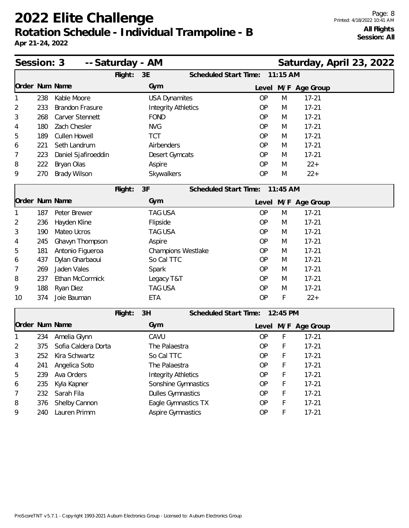| Session: 3     |     | -- Saturday - AM       |         |                            |                              |           |            | Saturday, April 23, 2022 |  |  |
|----------------|-----|------------------------|---------|----------------------------|------------------------------|-----------|------------|--------------------------|--|--|
|                |     |                        | Flight: | 3E                         | Scheduled Start Time:        |           | 11:15 AM   |                          |  |  |
| Order Num Name |     |                        |         | Gym                        |                              |           |            | Level M/F Age Group      |  |  |
|                | 238 | Kable Moore            |         | <b>USA Dynamites</b>       |                              | <b>OP</b> | M          | $17 - 21$                |  |  |
| 2              | 233 | <b>Brandon Frasure</b> |         | <b>Integrity Athletics</b> |                              | <b>OP</b> | M          | $17 - 21$                |  |  |
| 3              | 268 | Carver Stennett        |         | <b>FOND</b>                |                              | <b>OP</b> | M          | $17 - 21$                |  |  |
| 4              | 180 | Zach Chesler           |         | <b>NVG</b>                 |                              | <b>OP</b> | M          | $17 - 21$                |  |  |
| 5              | 189 | <b>Cullen Howell</b>   |         | <b>TCT</b>                 |                              | <b>OP</b> | M          | $17 - 21$                |  |  |
| 6              | 221 | Seth Landrum           |         | Airbenders                 |                              | <b>OP</b> | M          | $17 - 21$                |  |  |
| 7              | 223 | Daniel Sjafiroeddin    |         | Desert Gymcats             |                              | <b>OP</b> | M          | $17 - 21$                |  |  |
| 8              | 222 | Bryan Olas             |         | Aspire                     |                              | <b>OP</b> | M          | $22+$                    |  |  |
| 9              | 270 | Brady Wilson           |         | Skywalkers                 |                              | <b>OP</b> | M          | $22+$                    |  |  |
|                |     |                        | Flight: | 3F                         | <b>Scheduled Start Time:</b> |           | $11:45$ AM |                          |  |  |
| Order Num Name |     |                        |         | Gym                        |                              |           |            | Level M/F Age Group      |  |  |
|                | 187 | Peter Brewer           |         | <b>TAG USA</b>             |                              | <b>OP</b> | M          | $17 - 21$                |  |  |
| 2              | 236 | Hayden Kline           |         | Flipside                   |                              | <b>OP</b> | M          | $17 - 21$                |  |  |
| 3              | 190 | Mateo Ucros            |         | <b>TAG USA</b>             |                              | <b>OP</b> | M          | $17 - 21$                |  |  |
| 4              | 245 | Ghavyn Thompson        |         | Aspire                     |                              | <b>OP</b> | M          | $17 - 21$                |  |  |
| 5              | 181 | Antonio Figueroa       |         | Champions Westlake         |                              | <b>OP</b> | M          | $17 - 21$                |  |  |
| 6              | 437 | Dylan Gharbaoui        |         | So Cal TTC                 |                              | <b>OP</b> | M          | $17 - 21$                |  |  |
| 7              | 269 | Jaden Vales            |         | Spark                      |                              | <b>OP</b> | M          | $17 - 21$                |  |  |
| 8              | 237 | Ethan McCormick        |         | Legacy T&T                 |                              | OP        | M          | $17 - 21$                |  |  |
| 9              | 188 | Ryan Diez              |         | <b>TAG USA</b>             |                              | <b>OP</b> | M          | $17 - 21$                |  |  |
| 10             | 374 | Joie Bauman            |         | <b>ETA</b>                 |                              | <b>OP</b> | F          | $22+$                    |  |  |
|                |     |                        | Flight: | 3H                         | Scheduled Start Time:        |           | 12:45 PM   |                          |  |  |
| Order Num Name |     |                        |         | Gym                        |                              |           |            | Level M/F Age Group      |  |  |
|                | 234 | Amelia Glynn           |         | CAVU                       |                              | <b>OP</b> | F          | $17 - 21$                |  |  |
| 2              | 375 | Sofia Caldera Dorta    |         | The Palaestra              |                              | <b>OP</b> | F          | $17 - 21$                |  |  |
| 3              | 252 | Kira Schwartz          |         | So Cal TTC                 |                              | OP        | F          | $17 - 21$                |  |  |
| 4              | 241 | Angelica Soto          |         | The Palaestra              |                              | OP        | F          | $17 - 21$                |  |  |
| 5              | 239 | Ava Orders             |         | <b>Integrity Athletics</b> |                              | OP        | F          | $17 - 21$                |  |  |
| 6              | 235 | Kyla Kapner            |         | Sonshine Gymnastics        |                              | OP        | F          | $17 - 21$                |  |  |
| 7              | 232 | Sarah Fila             |         | <b>Dulles Gymnastics</b>   |                              | <b>OP</b> | F          | $17 - 21$                |  |  |
| 8              | 376 | Shelby Cannon          |         | Eagle Gymnastics TX        |                              | OP        | F          | $17 - 21$                |  |  |
| 9              | 240 | Lauren Primm           |         | <b>Aspire Gymnastics</b>   |                              | OP        | F          | $17 - 21$                |  |  |